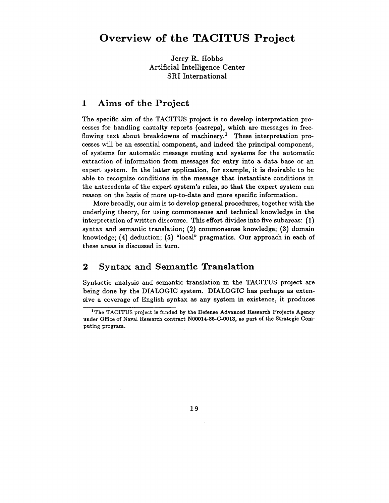# **Overview of the TACITUS Project**

Jerry R. Hobbs Artificial Intelligence Center SRI International

### 1 Aims of the Project

The specific aim of the TACITUS project is to develop interpretation processes for handling casualty reports (casreps), which are messages in freeflowing text about breakdowns of machinery.<sup>1</sup> These interpretation processes will be an essential component, and indeed the principal component, of systems for automatic message routing and systems for the automatic extraction of information from messages for entry into a data base or an expert system. In the latter application, for example, it is desirable to be able to recognize conditions in the message that instantiate conditions in the antecedents of the expert system's rules, so that the expert system can reason on the basis of more up-to-date and more specific information.

More broadly, our aim is to develop general procedures, together with the underlying theory, for using commonsense and technical knowledge in the interpretation of written discourse. This effort divides into five subareas: (1) syntax and semantic translation; (2) commonsense knowledge; (3) domain knowledge; (4) deduction; (5) "local" pragmatics. Our approach in each of these areas is discussed in turn.

# **2 Syntax and Semantic Translation**

Syntactic analysis and semantic translation in the TACITUS project are being done by the DIALOGIC system. DIALOGIC has perhaps as extensive a coverage of English syntax as any system in existence, it produces

<sup>&</sup>lt;sup>1</sup>The TACITUS project is funded by the Defense Advanced Research Projects Agency under Office of Naval Research contract N00014-85-C-0013, as part of the Strategic Computing program.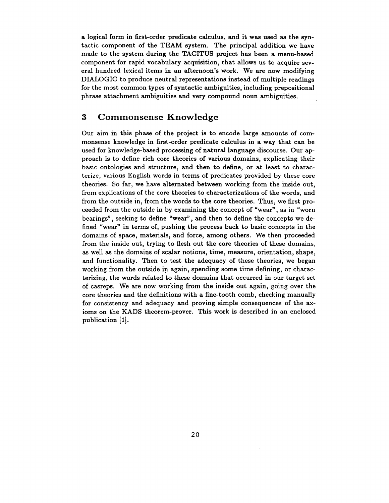a logical form in first-order predicate calculus, and it was used as the syntactic component of the TEAM system. The principal addition we have made to the system during the TACITUS project has been a menu-based component for rapid vocabulary acquisition, that allows us to acquire several hundred lexical items in an afternoon's work. We are now modifying DIALOGIC to produce neutral representations instead of multiple readings for the most common types of syntactic ambiguities, including prepositional phrase attachment ambiguities and very compound noun ambiguities.

## **3 Commonsense Knowledge**

Our aim in this phase of the project is to encode large amounts of commonsense knowledge in first-order predicate calculus in a way that can be used for knowledge-based processing of natural language discourse. Our approach is to define rich core theories of various domains, explicating their basic ontologies and structure, and then to define, or at least to characterize, various English words in terms of predicates provided by these core theories. So far, we have alternated between working from the inside out, from explications of the core theories to characterizations of the words, and from the outside in, from the words to the core theories. Thus, we first proceeded from the outside in by examining the concept of "wear", as in "worn bearings", seeking to define "wear", and then to define the concepts we defined "wear" in terms of, pushing the process back to basic concepts in the domains of space, materials, and force, among others. We then proceeded from the inside out, trying to flesh out the core theories of these domains, as well as the domains of scalar notions, time, measure, orientation, shape, and functionality. Then to test the adequacy of these theories, we began working from the outside in again, spending some time defining, or characterizing, the words related to these domains that occurred in our target set of casreps. We are now working from the inside out again, going over the core theories and the definitions with a fine-tooth comb, checking manually for consistency and adequacy and proving simple consequences of the axioms on the KADS theorem-prover. This work is described in an enclosed publication [1].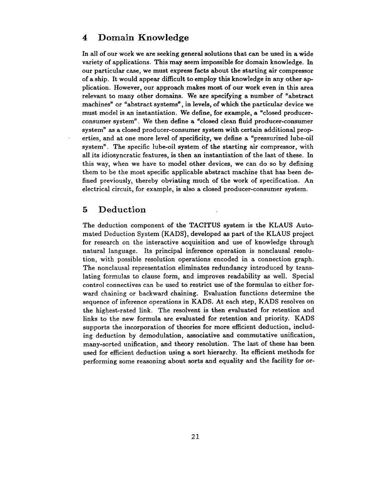## **4 Domain Knowledge**

In all of our work we are seeking general solutions that can be used in a wide variety of applications. This may seem impossible for domain knowledge. In our particular case, we must express facts about the starting air compressor of a ship. It would appear difficult to employ this knowledge in any other application. However, our approach makes most of our work even in this area relevant to many other domains. We are specifying a number of "abstract machines" or "abstract systems", in levels, of which the particular device we must model is an instantiation. We define, for example, a "closed producerconsumer system". We then define a "closed clean fluid producer-consumer system" as a closed producer-consumer system with certain additional properties, and at one more level of specificity, we define a "pressurized lube-oil system". The specific lube-oil system of the starting air compressor, with all its idiosyncratic features, is then an instantiation of the last of these. In this way, when we have to model other devices, we can do so by defining them to be the most specific applicable abstract machine that has been defined previously, thereby obviating much of the work of specification. An electrical circuit, for example, is also a closed producer-consumer system.

## **5 Deduction**

The deduction component of the TACITUS system is the KLAUS Automated Deduction System (KADS), developed as part of the KLAUS project for research on the interactive acquisition and use of knowledge through natural language. Its principal inference operation is nonclausal resolution, with possible resolution operations encoded in a connection graph. The nonclausal representation eliminates redundancy introduced by translating formulas to clause form, and improves readability as well. Special control connectives can be used to restrict use of the formulas to either forward chaining or backward chaining. Evaluation functions determine the sequence of inference operations in KADS. At each step, KADS resolves on the highest-rated link. The resolvent is then evaluated for retention and links to the new formula are evaluated for retention and priority. KADS supports the incorporation of theories for more efficient deduction, including deduction by demodulation, associative and commutative unification, many-sorted unification, and theory resolution. The last of these has been used for efficient deduction using a sort hierarchy. Its efficient methods for performing some reasoning about sorts and equality and the facility for or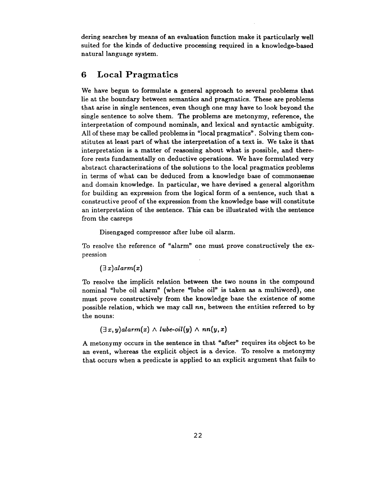dering searches by means of an evaluation function make it particularly well suited for the kinds of deductive processing required in a knowledge-based natural language system.

# **6 Local Pragmatics**

We have begun to formulate a general approach to several problems that lie at the boundary between semantics and pragmatics. These are problems that arise in single sentences, even though one may have to look beyond the single sentence to solve them. The problems are metonymy, reference, the interpretation of compound nominals, and lexical and syntactic ambiguity. All of these may be called problems in "local pragmatics". Solving them constitutes at least part of what the interpretation of a text is. We take it that interpretation is a matter of reasoning about what is possible, and therefore rests fundamentally on deductive operations. We have formulated very abstract characterizations of the solutions to the local pragmatics problems in terms of what can be deduced from a knowledge base of commonsense and domain knowledge. In particular, we have devised a general algorithm for building an expression from the logical form of a sentence, such that a constructive proof of the expression from the knowledge base will constitute an interpretation of the sentence. This can be illustrated with the sentence from the casreps

Disengaged compressor after lube oil alarm.

To resolve the reference of "alarm" one must prove constructively the expression

 $(\exists x)$ alarm $(x)$ 

To resolve the implicit relation between the two nouns in the compound nominal "lube oil alarm" (where "lube oil" is taken as a multiword), one must prove constructively from the knowledge base the existence of some possible relation, which we may call *nn,* between the entities referred to by the nouns:

 $(\exists x, y)$ *alarm* $(x) \wedge$ *lube-oil* $(y) \wedge nn(y, x)$ 

A metonymy occurs in the sentence in that "after" requires its object to be an event, whereas the explicit object is a device. To resolve a metonymy that occurs when a predicate is applied to an explicit argument that fails to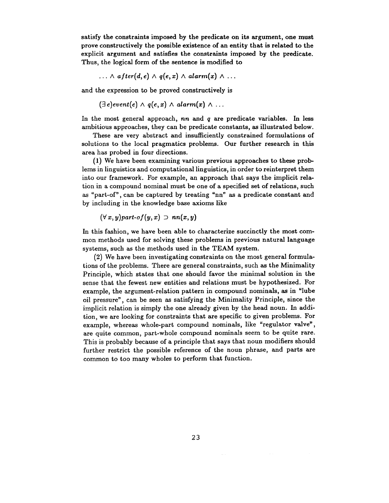satisfy the constraints imposed by the predicate on its argument, one must prove constructively the possible existence of an entity that is related to the explicit argument and satisfies the constraints imposed by the predicate. Thus, the logical form of the sentence is modified to

 $\ldots \wedge$  after(d, e)  $\wedge$  q(e, x)  $\wedge$  alarm(x)  $\wedge \ldots$ 

and the expression to be proved constructively is

 $(\exists e) event(e) \land q(e, x) \land alarm(x) \land ...$ 

In the most general approach, *nn* and q are predicate variables. In less ambitious approaches, they can be predicate constants, as illustrated below.

These are very abstract and insufficiently constrained formulations of solutions to the local pragmatics problems. Our further research in this area has probed in four directions.

(1) We have been examining various previous approaches to these problems in linguistics and computational linguistics, in order to reinterpret them into our framework. For example, an approach that says the implicit relation in a compound nominal must be one of a specified set of relations, such as "part-of', can be captured by treating "nn" as a predicate constant and by including in the knowledge base axioms like

 $(\forall x, y)$ *part-of* $(y, x) \supset nn(x, y)$ 

In this fashion, we have been able to characterize succinctly the most common methods used for solving these problems in previous natural language systems, such as the methods used in the TEAM system.

(2) We have been investigating constraints on the most general formulations of the problems. There are general constraints, such as the Minimality Principle, which states that one should favor the minimal solution in the sense that the fewest new entities and relations must be hypothesized. For example, the argument-relation pattern in compound nominals, as in "lube oil pressure", can be seen as satisfying the Minimality Principle, since the implicit relation is simply the one already given by the head noun. In addition, we are looking for constraints that are specific to given problems. For example, whereas whole-part compound nominals, like "regulator valve", are quite common, part-whole compound nominals seem to be quite rare. This is probably because of a principle that says that noun modifiers should further restrict the possible reference of the noun phrase, and parts are common to too many wholes to perform that function.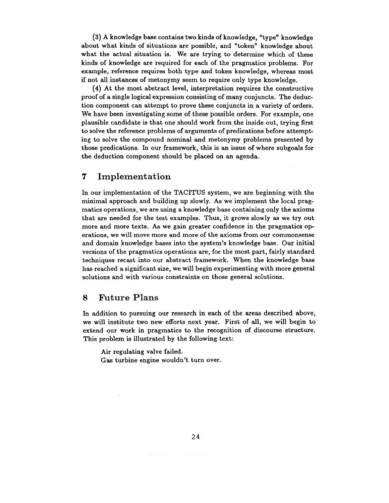(3) A knowledge base contains two kinds of knowledge, "type" knowledge about what kinds of situations are possible, and "token" knowledge about what the actual situation is. We are trying to determine which of these kinds of knowledge are required for each of the pragmatics problems. For example, reference requires both type and token knowledge, whereas most if not all instances of metonymy seem to require only type knowledge.

(4) At the most abstract level, interpretation requires the constructive proof of a single logical expression consisting of many conjuncts. The deduction component can attempt to prove these conjuncts in a variety of orders. We have been investigating some of these possible orders. For example, one plausible candidate is that one should work from the inside out, trying first to solve the reference problems of arguments of predications before attempting to solve the compound nominal and metonymy problems presented by those predications. In our framework, this is an issue of where subgoals for the deduction component should be placed on an agenda.

#### 7 Implementation

In our implementation of the TACITUS system, we are beginning with the minimal approach and building up slowly. As we implement the local pragmatics operations, we are using a knowledge base containing only the axioms that are needed for the test examples. Thus, it grows slowly as we try out more and more texts. As we gain greater confidence in the pragmatics operations, we will move more and more of the axioms from our commonsense and domain knowledge bases into the system's knowledge base. Our initial versions of the pragmatics operations are, for the most part, fairly standard techniques recast into our abstract framework. When the knowledge base has reached a significant size, we will begin experimenting with more general solutions and with various constraints on those general solutions.

#### 8 Future Plans

In addition to pursuing our research in each of the areas described above, we will institute two new efforts next year. First of all, we will begin to extend our work in pragmatics to the recognition of discourse structure. This problem is illustrated by the following text:

Air regulating valve failed.

Gas turbine engine wouldn't turn over.